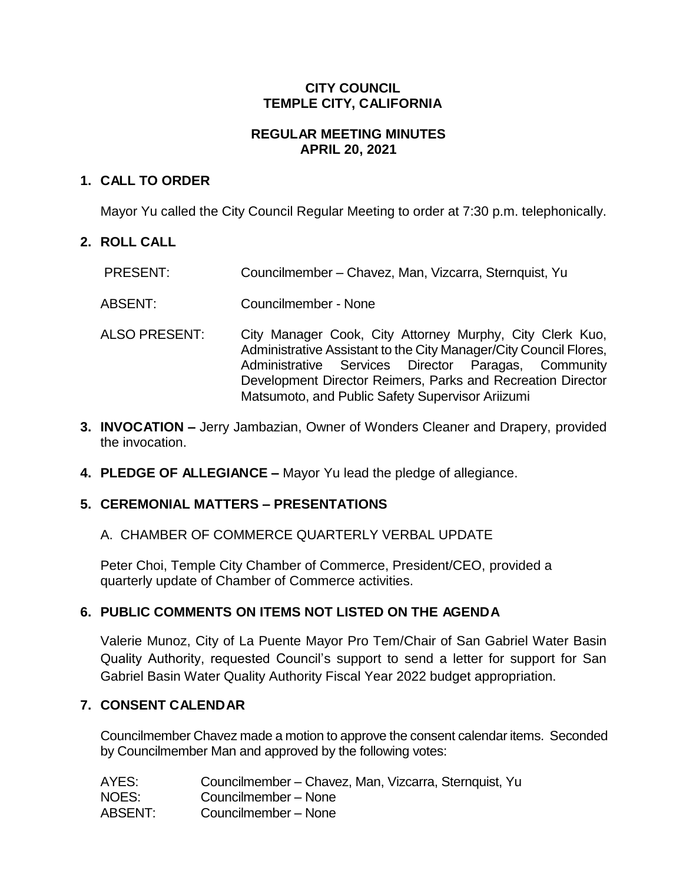## **CITY COUNCIL TEMPLE CITY, CALIFORNIA**

## **REGULAR MEETING MINUTES APRIL 20, 2021**

## **1. CALL TO ORDER**

Mayor Yu called the City Council Regular Meeting to order at 7:30 p.m. telephonically.

## **2. ROLL CALL**

- PRESENT: Councilmember Chavez, Man, Vizcarra, Sternquist, Yu
- ABSENT: Councilmember None
- ALSO PRESENT: City Manager Cook, City Attorney Murphy, City Clerk Kuo, Administrative Assistant to the City Manager/City Council Flores, Administrative Services Director Paragas, Community Development Director Reimers, Parks and Recreation Director Matsumoto, and Public Safety Supervisor Ariizumi
- **3. INVOCATION –** Jerry Jambazian, Owner of Wonders Cleaner and Drapery, provided the invocation.
- **4. PLEDGE OF ALLEGIANCE –** Mayor Yu lead the pledge of allegiance.

# **5. CEREMONIAL MATTERS – PRESENTATIONS**

A. CHAMBER OF COMMERCE QUARTERLY VERBAL UPDATE

Peter Choi, Temple City Chamber of Commerce, President/CEO, provided a quarterly update of Chamber of Commerce activities.

# **6. PUBLIC COMMENTS ON ITEMS NOT LISTED ON THE AGENDA**

Valerie Munoz, City of La Puente Mayor Pro Tem/Chair of San Gabriel Water Basin Quality Authority, requested Council's support to send a letter for support for San Gabriel Basin Water Quality Authority Fiscal Year 2022 budget appropriation.

# **7. CONSENT CALENDAR**

Councilmember Chavez made a motion to approve the consent calendar items. Seconded by Councilmember Man and approved by the following votes:

| AYES:   | Councilmember - Chavez, Man, Vizcarra, Sternquist, Yu |
|---------|-------------------------------------------------------|
| NOES:   | Councilmember - None                                  |
| ABSENT: | Councilmember - None                                  |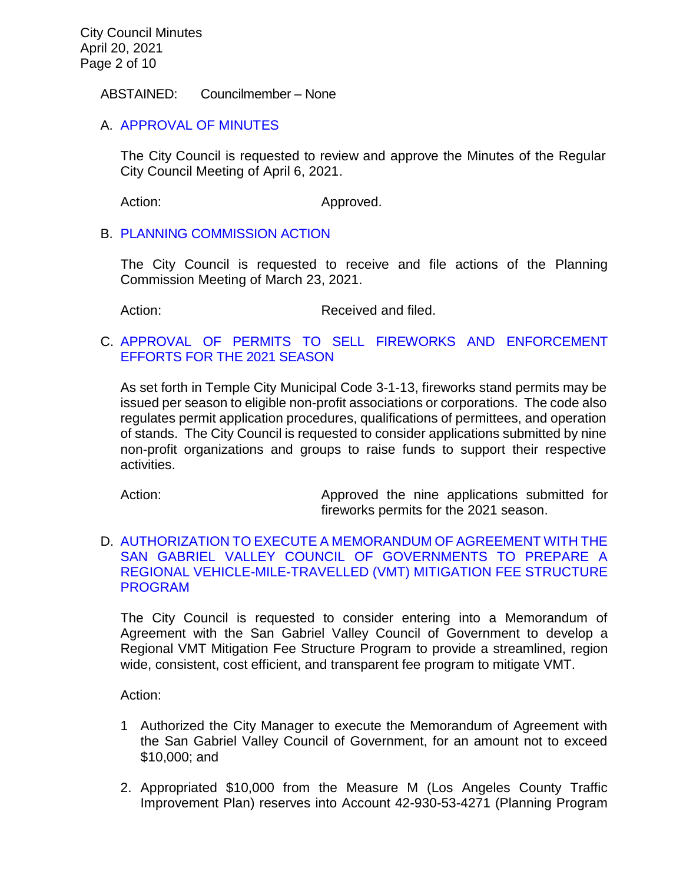#### ABSTAINED: Councilmember – None

## A. [APPROVAL](https://ca-templecity.civicplus.com/DocumentCenter/View/16136/7A_CCM---2021-04-06) OF MINUTES

The City Council is requested to review and approve the Minutes of the Regular City Council Meeting of April 6, 2021.

Action: Approved.

### B. PLANNING [COMMISSION ACTION](https://ca-templecity.civicplus.com/DocumentCenter/View/16123/7B_PC-Actions---from-2021-3-23_final)

The City Council is requested to receive and file actions of the Planning Commission Meeting of March 23, 2021.

Action: Received and filed.

## C. [APPROVAL OF PERMITS TO SELL FIREWORKS AND ENFORCEMENT](https://ca-templecity.civicplus.com/DocumentCenter/View/16124/7C_Fireworks_Staff-Report_final)  [EFFORTS FOR THE 2021](https://ca-templecity.civicplus.com/DocumentCenter/View/16124/7C_Fireworks_Staff-Report_final) SEASON

As set forth in Temple City Municipal Code 3-1-13, fireworks stand permits may be issued per season to eligible non-profit associations or corporations. The code also regulates permit application procedures, qualifications of permittees, and operation of stands. The City Council is requested to consider applications submitted by nine non-profit organizations and groups to raise funds to support their respective activities.

Action: Approved the nine applications submitted for fireworks permits for the 2021 season.

### D. [AUTHORIZATION TO EXECUTE A MEMORANDUM OF AGREEMENT WITH THE](https://ca-templecity.civicplus.com/DocumentCenter/View/16125/7D_VMT_Staff-Report-MOA-with-SGVCOG_final)  [SAN GABRIEL VALLEY COUNCIL OF GOVERNMENTS TO PREPARE A](https://ca-templecity.civicplus.com/DocumentCenter/View/16125/7D_VMT_Staff-Report-MOA-with-SGVCOG_final)  [REGIONAL VEHICLE-MILE-TRAVELLED \(VMT\) MITIGATION FEE STRUCTURE](https://ca-templecity.civicplus.com/DocumentCenter/View/16125/7D_VMT_Staff-Report-MOA-with-SGVCOG_final)  [PROGRAM](https://ca-templecity.civicplus.com/DocumentCenter/View/16125/7D_VMT_Staff-Report-MOA-with-SGVCOG_final)

The City Council is requested to consider entering into a Memorandum of Agreement with the San Gabriel Valley Council of Government to develop a Regional VMT Mitigation Fee Structure Program to provide a streamlined, region wide, consistent, cost efficient, and transparent fee program to mitigate VMT.

Action:

- 1 Authorized the City Manager to execute the Memorandum of Agreement with the San Gabriel Valley Council of Government, for an amount not to exceed \$10,000; and
- 2. Appropriated \$10,000 from the Measure M (Los Angeles County Traffic Improvement Plan) reserves into Account 42-930-53-4271 (Planning Program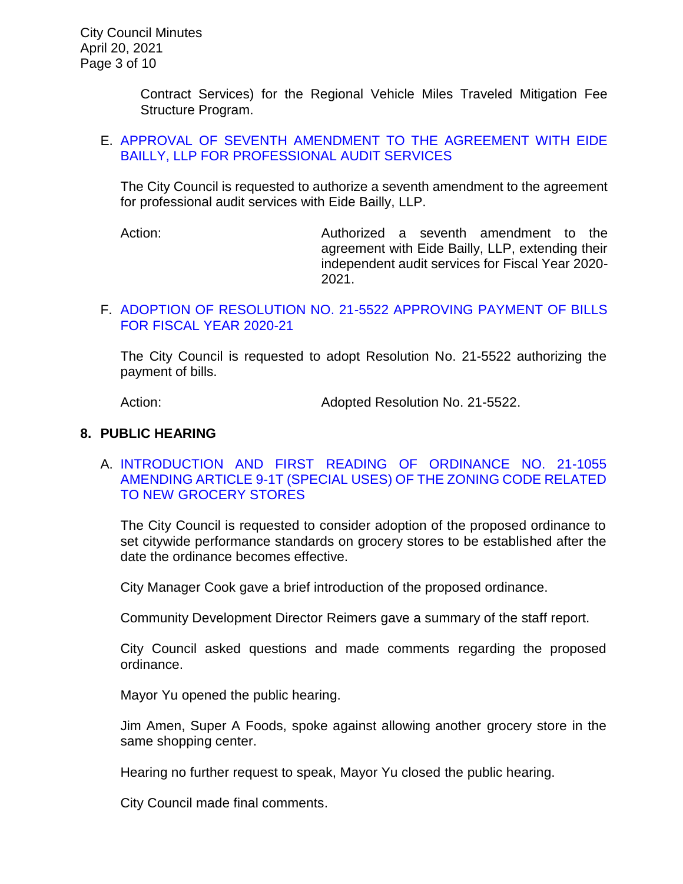Contract Services) for the Regional Vehicle Miles Traveled Mitigation Fee Structure Program.

### E. [APPROVAL OF SEVENTH AMENDMENT TO THE AGREEMENT WITH EIDE](https://ca-templecity.civicplus.com/DocumentCenter/View/16126/7E_Eide-Bailly_Staff-Report--Seventh-Amendment-to-Agreement-with-Eide-Bailly_final)  [BAILLY, LLP FOR PROFESSIONAL AUDIT SERVICES](https://ca-templecity.civicplus.com/DocumentCenter/View/16126/7E_Eide-Bailly_Staff-Report--Seventh-Amendment-to-Agreement-with-Eide-Bailly_final)

The City Council is requested to authorize a seventh amendment to the agreement for professional audit services with Eide Bailly, LLP.

Action: Authorized a seventh amendment to the agreement with Eide Bailly, LLP, extending their independent audit services for Fiscal Year 2020- 2021.

### F. [ADOPTION OF RESOLUTION NO. 21-5522](https://ca-templecity.civicplus.com/DocumentCenter/View/16127/7F_CC-Warrant_Reso-No-21-5522-042021) APPROVING PAYMENT OF BILLS [FOR FISCAL YEAR 2020-21](https://ca-templecity.civicplus.com/DocumentCenter/View/16127/7F_CC-Warrant_Reso-No-21-5522-042021)

The City Council is requested to adopt Resolution No. 21-5522 authorizing the payment of bills.

Action: Mathematic Mediated Resolution No. 21-5522.

### **8. PUBLIC HEARING**

### A. [INTRODUCTION AND FIRST READING OF ORDINANCE NO. 21-1055](https://ca-templecity.civicplus.com/DocumentCenter/View/16128/8A_Grocery-Store_staff-report_final) [AMENDING ARTICLE 9-1T \(SPECIAL USES\) OF THE ZONING CODE RELATED](https://ca-templecity.civicplus.com/DocumentCenter/View/16128/8A_Grocery-Store_staff-report_final)  [TO NEW GROCERY STORES](https://ca-templecity.civicplus.com/DocumentCenter/View/16128/8A_Grocery-Store_staff-report_final)

The City Council is requested to consider adoption of the proposed ordinance to set citywide performance standards on grocery stores to be established after the date the ordinance becomes effective.

City Manager Cook gave a brief introduction of the proposed ordinance.

Community Development Director Reimers gave a summary of the staff report.

City Council asked questions and made comments regarding the proposed ordinance.

Mayor Yu opened the public hearing.

Jim Amen, Super A Foods, spoke against allowing another grocery store in the same shopping center.

Hearing no further request to speak, Mayor Yu closed the public hearing.

City Council made final comments.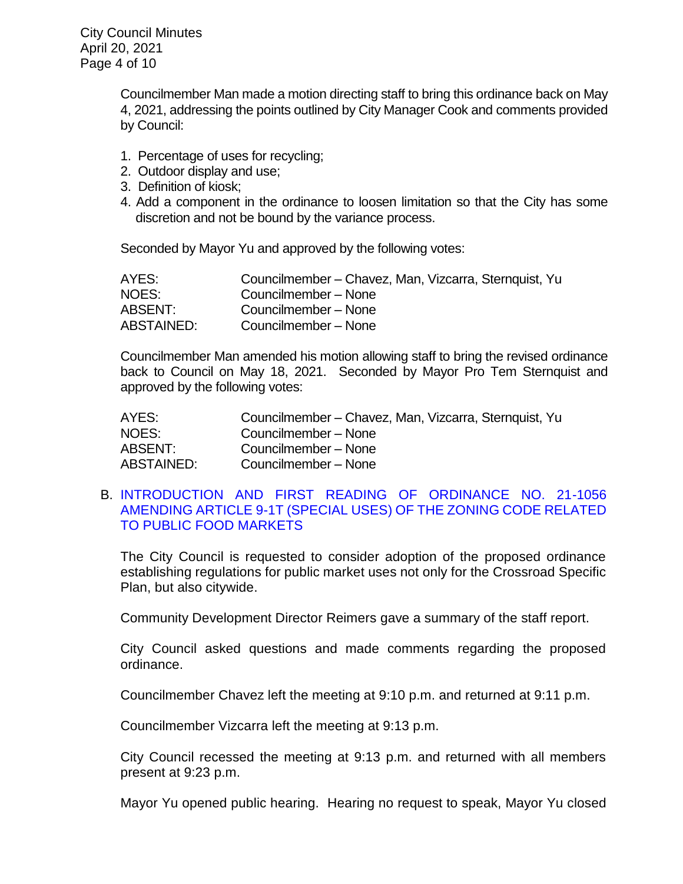City Council Minutes April 20, 2021 Page 4 of 10

> Councilmember Man made a motion directing staff to bring this ordinance back on May 4, 2021, addressing the points outlined by City Manager Cook and comments provided by Council:

- 1. Percentage of uses for recycling;
- 2. Outdoor display and use;
- 3. Definition of kiosk;
- 4. Add a component in the ordinance to loosen limitation so that the City has some discretion and not be bound by the variance process.

Seconded by Mayor Yu and approved by the following votes:

| AYES:      | Councilmember - Chavez, Man, Vizcarra, Sternquist, Yu |
|------------|-------------------------------------------------------|
| NOES:      | Councilmember - None                                  |
| ABSENT:    | Councilmember - None                                  |
| ABSTAINED: | Councilmember - None                                  |

Councilmember Man amended his motion allowing staff to bring the revised ordinance back to Council on May 18, 2021. Seconded by Mayor Pro Tem Sternquist and approved by the following votes:

| AYES:      | Councilmember – Chavez, Man, Vizcarra, Sternquist, Yu |
|------------|-------------------------------------------------------|
| NOES:      | Councilmember - None                                  |
| ABSENT:    | Councilmember - None                                  |
| ABSTAINED: | Councilmember - None                                  |

### B. [INTRODUCTION AND FIRST READING OF ORDINANCE NO. 21-1056](https://ca-templecity.civicplus.com/DocumentCenter/View/16129/8B_Public-Food-Market_staff-report_final)  [AMENDING ARTICLE 9-1T \(SPECIAL USES\) OF THE ZONING CODE RELATED](https://ca-templecity.civicplus.com/DocumentCenter/View/16129/8B_Public-Food-Market_staff-report_final)  [TO PUBLIC FOOD MARKETS](https://ca-templecity.civicplus.com/DocumentCenter/View/16129/8B_Public-Food-Market_staff-report_final)

The City Council is requested to consider adoption of the proposed ordinance establishing regulations for public market uses not only for the Crossroad Specific Plan, but also citywide.

Community Development Director Reimers gave a summary of the staff report.

City Council asked questions and made comments regarding the proposed ordinance.

Councilmember Chavez left the meeting at 9:10 p.m. and returned at 9:11 p.m.

Councilmember Vizcarra left the meeting at 9:13 p.m.

City Council recessed the meeting at 9:13 p.m. and returned with all members present at 9:23 p.m.

Mayor Yu opened public hearing. Hearing no request to speak, Mayor Yu closed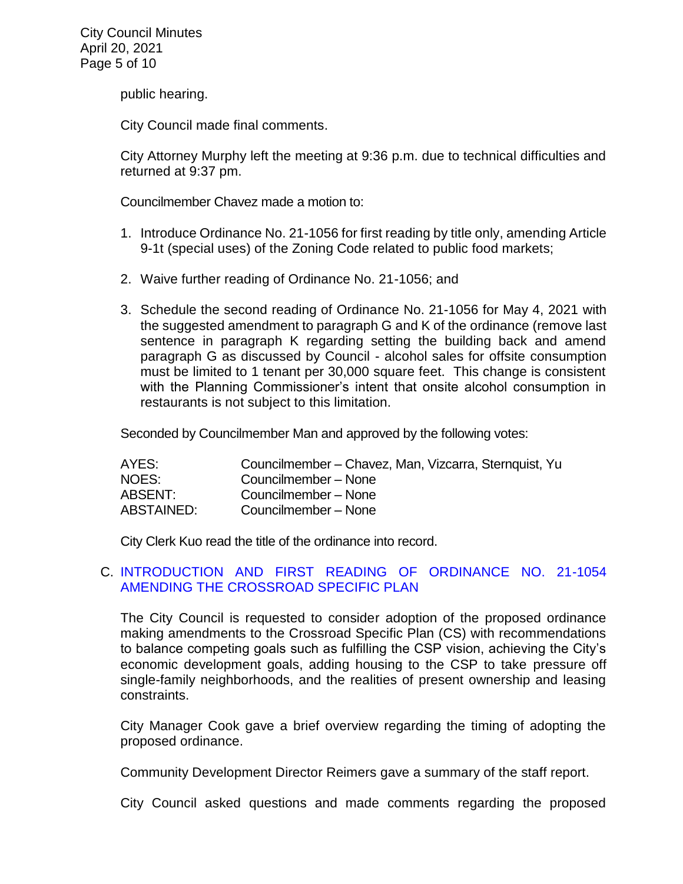public hearing.

City Council made final comments.

City Attorney Murphy left the meeting at 9:36 p.m. due to technical difficulties and returned at 9:37 pm.

Councilmember Chavez made a motion to:

- 1. Introduce Ordinance No. 21-1056 for first reading by title only, amending Article 9-1t (special uses) of the Zoning Code related to public food markets;
- 2. Waive further reading of Ordinance No. 21-1056; and
- 3. Schedule the second reading of Ordinance No. 21-1056 for May 4, 2021 with the suggested amendment to paragraph G and K of the ordinance (remove last sentence in paragraph K regarding setting the building back and amend paragraph G as discussed by Council - alcohol sales for offsite consumption must be limited to 1 tenant per 30,000 square feet. This change is consistent with the Planning Commissioner's intent that onsite alcohol consumption in restaurants is not subject to this limitation.

Seconded by Councilmember Man and approved by the following votes:

| AYES:      | Councilmember – Chavez, Man, Vizcarra, Sternquist, Yu |
|------------|-------------------------------------------------------|
| NOES:      | Councilmember - None                                  |
| ABSENT:    | Councilmember - None                                  |
| ABSTAINED: | Councilmember - None                                  |

City Clerk Kuo read the title of the ordinance into record.

### C. [INTRODUCTION AND FIRST READING OF ORDINANCE NO. 21-1054](https://ca-templecity.civicplus.com/DocumentCenter/View/16130/8C_Crossroad-Specific-Plan_Staff-Report_FINAL)  [AMENDING THE CROSSROAD SPECIFIC PLAN](https://ca-templecity.civicplus.com/DocumentCenter/View/16130/8C_Crossroad-Specific-Plan_Staff-Report_FINAL)

The City Council is requested to consider adoption of the proposed ordinance making amendments to the Crossroad Specific Plan (CS) with recommendations to balance competing goals such as fulfilling the CSP vision, achieving the City's economic development goals, adding housing to the CSP to take pressure off single-family neighborhoods, and the realities of present ownership and leasing constraints.

City Manager Cook gave a brief overview regarding the timing of adopting the proposed ordinance.

Community Development Director Reimers gave a summary of the staff report.

City Council asked questions and made comments regarding the proposed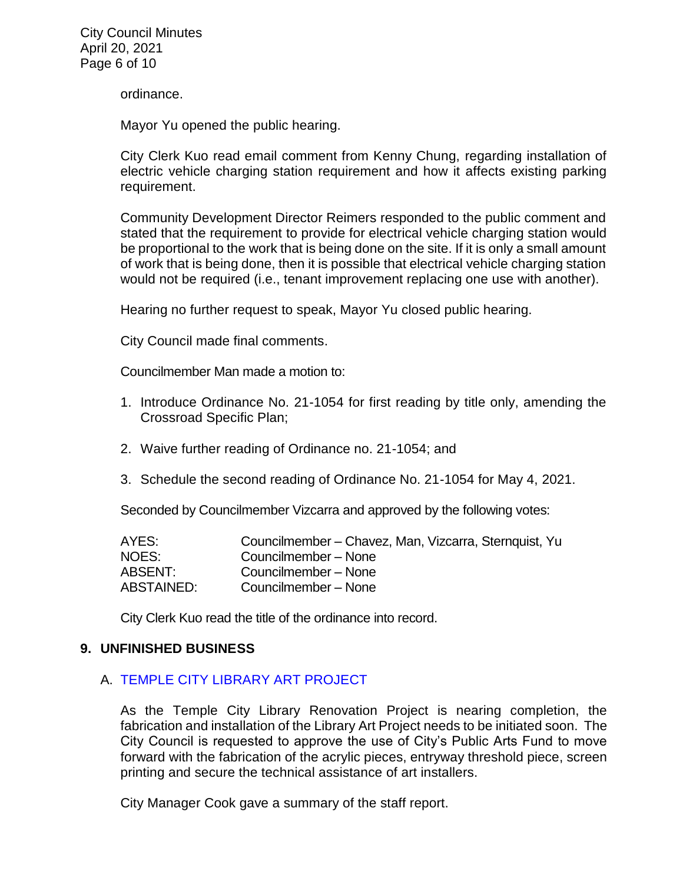City Council Minutes April 20, 2021 Page 6 of 10

ordinance.

Mayor Yu opened the public hearing.

City Clerk Kuo read email comment from Kenny Chung, regarding installation of electric vehicle charging station requirement and how it affects existing parking requirement.

Community Development Director Reimers responded to the public comment and stated that the requirement to provide for electrical vehicle charging station would be proportional to the work that is being done on the site. If it is only a small amount of work that is being done, then it is possible that electrical vehicle charging station would not be required (i.e., tenant improvement replacing one use with another).

Hearing no further request to speak, Mayor Yu closed public hearing.

City Council made final comments.

Councilmember Man made a motion to:

- 1. Introduce Ordinance No. 21-1054 for first reading by title only, amending the Crossroad Specific Plan;
- 2. Waive further reading of Ordinance no. 21-1054; and
- 3. Schedule the second reading of Ordinance No. 21-1054 for May 4, 2021.

Seconded by Councilmember Vizcarra and approved by the following votes:

| AYES:      | Councilmember - Chavez, Man, Vizcarra, Sternquist, Yu |
|------------|-------------------------------------------------------|
| NOES:      | Councilmember - None                                  |
| ABSENT:    | Councilmember - None                                  |
| ABSTAINED: | Councilmember - None                                  |

City Clerk Kuo read the title of the ordinance into record.

#### **9. UNFINISHED BUSINESS**

#### A. [TEMPLE CITY LIBRARY ART PROJECT](https://ca-templecity.civicplus.com/DocumentCenter/View/16131/9A_TC-Library-Art-Enhancement_Staff-Report_final)

As the Temple City Library Renovation Project is nearing completion, the fabrication and installation of the Library Art Project needs to be initiated soon. The City Council is requested to approve the use of City's Public Arts Fund to move forward with the fabrication of the acrylic pieces, entryway threshold piece, screen printing and secure the technical assistance of art installers.

City Manager Cook gave a summary of the staff report.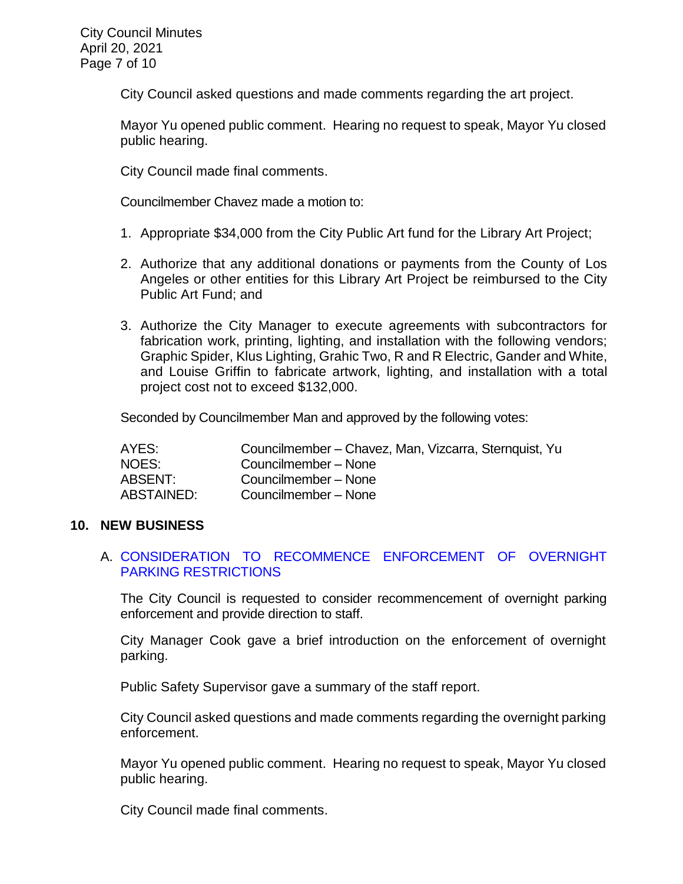City Council asked questions and made comments regarding the art project.

Mayor Yu opened public comment. Hearing no request to speak, Mayor Yu closed public hearing.

City Council made final comments.

Councilmember Chavez made a motion to:

- 1. Appropriate \$34,000 from the City Public Art fund for the Library Art Project;
- 2. Authorize that any additional donations or payments from the County of Los Angeles or other entities for this Library Art Project be reimbursed to the City Public Art Fund; and
- 3. Authorize the City Manager to execute agreements with subcontractors for fabrication work, printing, lighting, and installation with the following vendors; Graphic Spider, Klus Lighting, Grahic Two, R and R Electric, Gander and White, and Louise Griffin to fabricate artwork, lighting, and installation with a total project cost not to exceed \$132,000.

Seconded by Councilmember Man and approved by the following votes:

| AYES:      | Councilmember - Chavez, Man, Vizcarra, Sternquist, Yu |
|------------|-------------------------------------------------------|
| NOES:      | Councilmember - None                                  |
| ABSENT:    | Councilmember - None                                  |
| ABSTAINED: | Councilmember - None                                  |

#### **10. NEW BUSINESS**

### A. [CONSIDERATION TO RECOMMENCE ENFORCEMENT OF OVERNIGHT](https://ca-templecity.civicplus.com/DocumentCenter/View/16132/10A_Overnight-Parking_Staff-Rporrt-_final)  [PARKING RESTRICTIONS](https://ca-templecity.civicplus.com/DocumentCenter/View/16132/10A_Overnight-Parking_Staff-Rporrt-_final)

The City Council is requested to consider recommencement of overnight parking enforcement and provide direction to staff.

City Manager Cook gave a brief introduction on the enforcement of overnight parking.

Public Safety Supervisor gave a summary of the staff report.

City Council asked questions and made comments regarding the overnight parking enforcement.

Mayor Yu opened public comment. Hearing no request to speak, Mayor Yu closed public hearing.

City Council made final comments.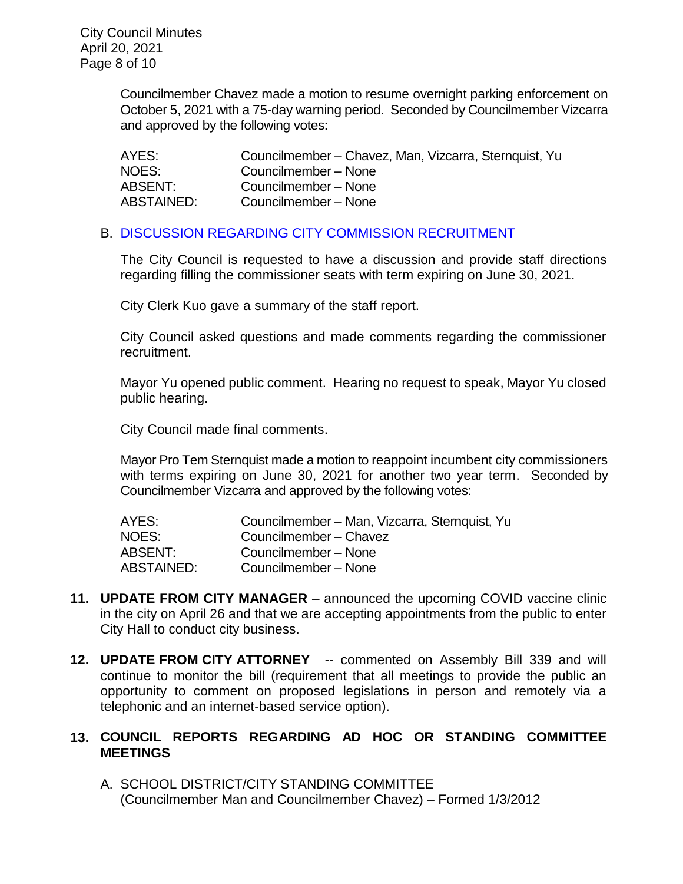City Council Minutes April 20, 2021 Page 8 of 10

> Councilmember Chavez made a motion to resume overnight parking enforcement on October 5, 2021 with a 75-day warning period. Seconded by Councilmember Vizcarra and approved by the following votes:

| AYES:      | Councilmember – Chavez, Man, Vizcarra, Sternquist, Yu |
|------------|-------------------------------------------------------|
| NOES:      | Councilmember - None                                  |
| ABSENT:    | Councilmember - None                                  |
| ABSTAINED: | Councilmember - None                                  |

### B. DISCUSSION REGARDING CITY COMMISSION [RECRUITMENT](https://ca-templecity.civicplus.com/DocumentCenter/View/16133/10B_City-Commission-Recruitment_Staff-Report_final)

The City Council is requested to have a discussion and provide staff directions regarding filling the commissioner seats with term expiring on June 30, 2021.

City Clerk Kuo gave a summary of the staff report.

City Council asked questions and made comments regarding the commissioner recruitment.

Mayor Yu opened public comment. Hearing no request to speak, Mayor Yu closed public hearing.

City Council made final comments.

Mayor Pro Tem Sternquist made a motion to reappoint incumbent city commissioners with terms expiring on June 30, 2021 for another two year term. Seconded by Councilmember Vizcarra and approved by the following votes:

| Councilmember – Man, Vizcarra, Sternquist, Yu |
|-----------------------------------------------|
| Councilmember - Chavez                        |
| Councilmember - None                          |
| Councilmember - None                          |
|                                               |

- **11. UPDATE FROM CITY MANAGER** announced the upcoming COVID vaccine clinic in the city on April 26 and that we are accepting appointments from the public to enter City Hall to conduct city business.
- **12. UPDATE FROM CITY ATTORNEY** -- commented on Assembly Bill 339 and will continue to monitor the bill (requirement that all meetings to provide the public an opportunity to comment on proposed legislations in person and remotely via a telephonic and an internet-based service option).

# **13. COUNCIL REPORTS REGARDING AD HOC OR STANDING COMMITTEE MEETINGS**

A. SCHOOL DISTRICT/CITY STANDING COMMITTEE (Councilmember Man and Councilmember Chavez) – Formed 1/3/2012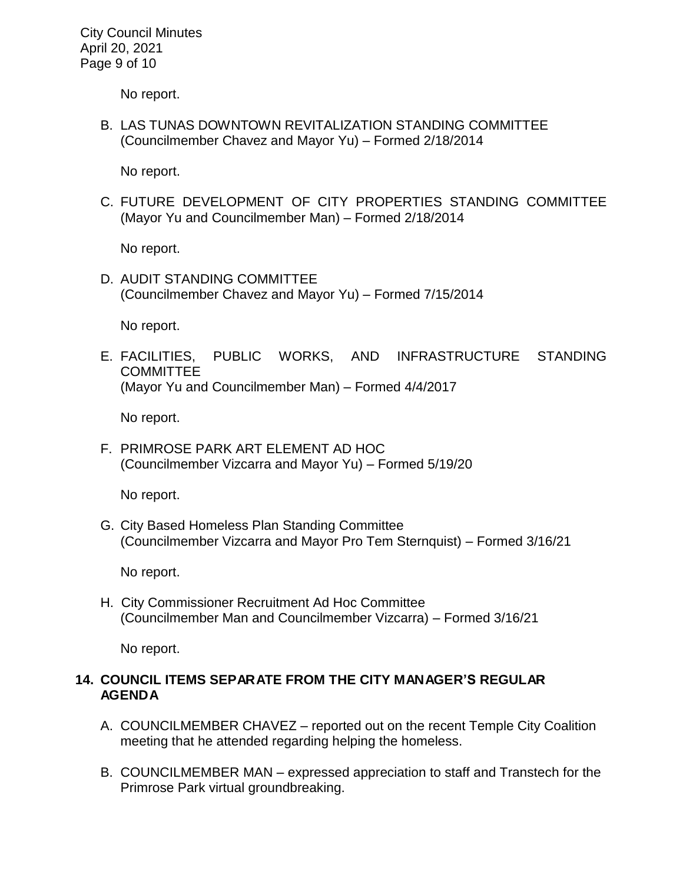City Council Minutes April 20, 2021 Page 9 of 10

No report.

B. LAS TUNAS DOWNTOWN REVITALIZATION STANDING COMMITTEE (Councilmember Chavez and Mayor Yu) – Formed 2/18/2014

No report.

C. FUTURE DEVELOPMENT OF CITY PROPERTIES STANDING COMMITTEE (Mayor Yu and Councilmember Man) – Formed 2/18/2014

No report.

D. AUDIT STANDING COMMITTEE (Councilmember Chavez and Mayor Yu) – Formed 7/15/2014

No report.

E. FACILITIES, PUBLIC WORKS, AND INFRASTRUCTURE STANDING **COMMITTEE** (Mayor Yu and Councilmember Man) – Formed 4/4/2017

No report.

F. PRIMROSE PARK ART ELEMENT AD HOC (Councilmember Vizcarra and Mayor Yu) – Formed 5/19/20

No report.

G. City Based Homeless Plan Standing Committee (Councilmember Vizcarra and Mayor Pro Tem Sternquist) – Formed 3/16/21

No report.

H. City Commissioner Recruitment Ad Hoc Committee (Councilmember Man and Councilmember Vizcarra) – Formed 3/16/21

No report.

### **14. COUNCIL ITEMS SEPARATE FROM THE CITY MANAGER'S REGULAR AGENDA**

- A. COUNCILMEMBER CHAVEZ reported out on the recent Temple City Coalition meeting that he attended regarding helping the homeless.
- B. COUNCILMEMBER MAN expressed appreciation to staff and Transtech for the Primrose Park virtual groundbreaking.